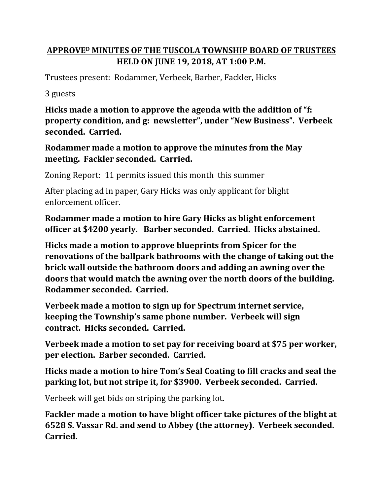## **APPROVE<sup>D</sup> MINUTES OF THE TUSCOLA TOWNSHIP BOARD OF TRUSTEES HELD ON JUNE 19, 2018, AT 1:00 P.M.**

Trustees present: Rodammer, Verbeek, Barber, Fackler, Hicks

3 guests

**Hicks made a motion to approve the agenda with the addition of "f: property condition, and g: newsletter", under "New Business". Verbeek seconded. Carried.**

## **Rodammer made a motion to approve the minutes from the May meeting. Fackler seconded. Carried.**

Zoning Report: 11 permits issued this month this summer

After placing ad in paper, Gary Hicks was only applicant for blight enforcement officer.

**Rodammer made a motion to hire Gary Hicks as blight enforcement officer at \$4200 yearly. Barber seconded. Carried. Hicks abstained.**

**Hicks made a motion to approve blueprints from Spicer for the renovations of the ballpark bathrooms with the change of taking out the brick wall outside the bathroom doors and adding an awning over the doors that would match the awning over the north doors of the building. Rodammer seconded. Carried.**

**Verbeek made a motion to sign up for Spectrum internet service, keeping the Township's same phone number. Verbeek will sign contract. Hicks seconded. Carried.**

**Verbeek made a motion to set pay for receiving board at \$75 per worker, per election. Barber seconded. Carried.**

**Hicks made a motion to hire Tom's Seal Coating to fill cracks and seal the parking lot, but not stripe it, for \$3900. Verbeek seconded. Carried.**

Verbeek will get bids on striping the parking lot.

**Fackler made a motion to have blight officer take pictures of the blight at 6528 S. Vassar Rd. and send to Abbey (the attorney). Verbeek seconded. Carried.**